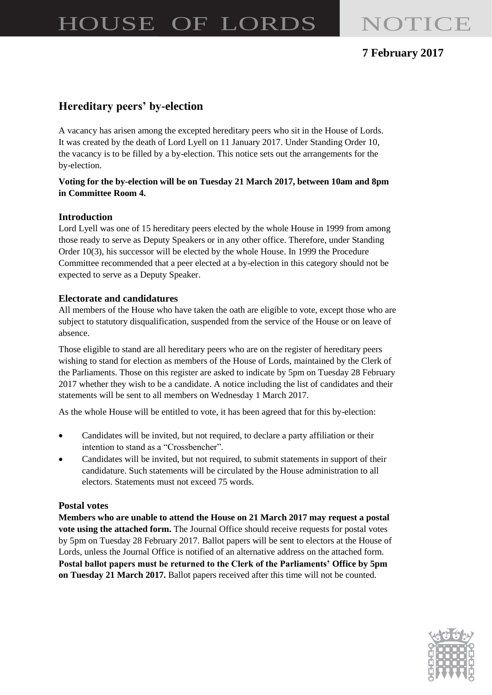# HOUSE OF LORDS NOTICE

## **7 February 2017**

## **Hereditary peers' by-election**

A vacancy has arisen among the excepted hereditary peers who sit in the House of Lords. It was created by the death of Lord Lyell on 11 January 2017. Under Standing Order 10, the vacancy is to be filled by a by-election. This notice sets out the arrangements for the by-election.

#### **Voting for the by-election will be on Tuesday 21 March 2017, between 10am and 8pm in Committee Room 4.**

#### **Introduction**

Lord Lyell was one of 15 hereditary peers elected by the whole House in 1999 from among those ready to serve as Deputy Speakers or in any other office. Therefore, under Standing Order 10(3), his successor will be elected by the whole House. In 1999 the Procedure Committee recommended that a peer elected at a by-election in this category should not be expected to serve as a Deputy Speaker.

#### **Electorate and candidatures**

All members of the House who have taken the oath are eligible to vote, except those who are subject to statutory disqualification, suspended from the service of the House or on leave of absence.

Those eligible to stand are all hereditary peers who are on the register of hereditary peers wishing to stand for election as members of the House of Lords, maintained by the Clerk of the Parliaments. Those on this register are asked to indicate by 5pm on Tuesday 28 February 2017 whether they wish to be a candidate. A notice including the list of candidates and their statements will be sent to all members on Wednesday 1 March 2017.

As the whole House will be entitled to vote, it has been agreed that for this by-election:

- Candidates will be invited, but not required, to declare a party affiliation or their intention to stand as a "Crossbencher".
- Candidates will be invited, but not required, to submit statements in support of their candidature. Such statements will be circulated by the House administration to all electors. Statements must not exceed 75 words.

#### **Postal votes**

**Members who are unable to attend the House on 21 March 2017 may request a postal vote using the attached form.** The Journal Office should receive requests for postal votes by 5pm on Tuesday 28 February 2017. Ballot papers will be sent to electors at the House of Lords, unless the Journal Office is notified of an alternative address on the attached form. **Postal ballot papers must be returned to the Clerk of the Parliaments' Office by 5pm on Tuesday 21 March 2017.** Ballot papers received after this time will not be counted.

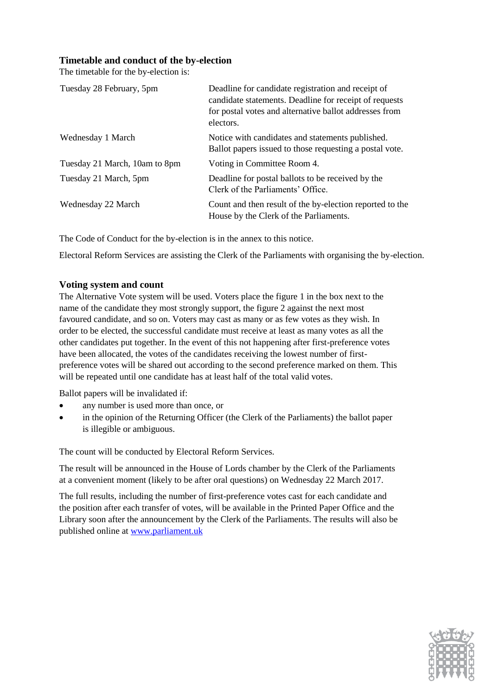#### **Timetable and conduct of the by-election**

The timetable for the by-election is:

| Tuesday 28 February, 5pm      | Deadline for candidate registration and receipt of<br>candidate statements. Deadline for receipt of requests<br>for postal votes and alternative ballot addresses from<br>electors. |
|-------------------------------|-------------------------------------------------------------------------------------------------------------------------------------------------------------------------------------|
| Wednesday 1 March             | Notice with candidates and statements published.<br>Ballot papers issued to those requesting a postal vote.                                                                         |
| Tuesday 21 March, 10am to 8pm | Voting in Committee Room 4.                                                                                                                                                         |
| Tuesday 21 March, 5pm         | Deadline for postal ballots to be received by the<br>Clerk of the Parliaments' Office.                                                                                              |
| Wednesday 22 March            | Count and then result of the by-election reported to the<br>House by the Clerk of the Parliaments.                                                                                  |

The Code of Conduct for the by-election is in the annex to this notice.

Electoral Reform Services are assisting the Clerk of the Parliaments with organising the by-election.

#### **Voting system and count**

The Alternative Vote system will be used. Voters place the figure 1 in the box next to the name of the candidate they most strongly support, the figure 2 against the next most favoured candidate, and so on. Voters may cast as many or as few votes as they wish. In order to be elected, the successful candidate must receive at least as many votes as all the other candidates put together. In the event of this not happening after first-preference votes have been allocated, the votes of the candidates receiving the lowest number of firstpreference votes will be shared out according to the second preference marked on them. This will be repeated until one candidate has at least half of the total valid votes.

Ballot papers will be invalidated if:

- any number is used more than once, or
- in the opinion of the Returning Officer (the Clerk of the Parliaments) the ballot paper is illegible or ambiguous.

The count will be conducted by Electoral Reform Services.

The result will be announced in the House of Lords chamber by the Clerk of the Parliaments at a convenient moment (likely to be after oral questions) on Wednesday 22 March 2017.

The full results, including the number of first-preference votes cast for each candidate and the position after each transfer of votes, will be available in the Printed Paper Office and the Library soon after the announcement by the Clerk of the Parliaments. The results will also be published online at [www.parliament.uk](http://www.parliament.uk/)

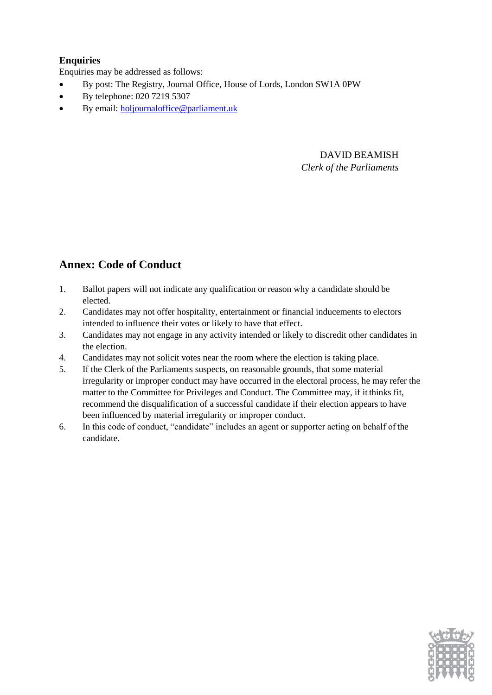#### **Enquiries**

Enquiries may be addressed as follows:

- By post: The Registry, Journal Office, House of Lords, London SW1A 0PW
- By telephone: 020 7219 5307
- By email[: holjournaloffice@parliament.uk](mailto:holjournaloffice@parliament.uk)

## DAVID BEAMISH *Clerk of the Parliaments*

## **Annex: Code of Conduct**

- 1. Ballot papers will not indicate any qualification or reason why a candidate should be elected.
- 2. Candidates may not offer hospitality, entertainment or financial inducements to electors intended to influence their votes or likely to have that effect.
- 3. Candidates may not engage in any activity intended or likely to discredit other candidates in the election.
- 4. Candidates may not solicit votes near the room where the election is taking place.
- 5. If the Clerk of the Parliaments suspects, on reasonable grounds, that some material irregularity or improper conduct may have occurred in the electoral process, he may refer the matter to the Committee for Privileges and Conduct. The Committee may, if it thinks fit, recommend the disqualification of a successful candidate if their election appears to have been influenced by material irregularity or improper conduct.
- 6. In this code of conduct, "candidate" includes an agent or supporter acting on behalf of the candidate.